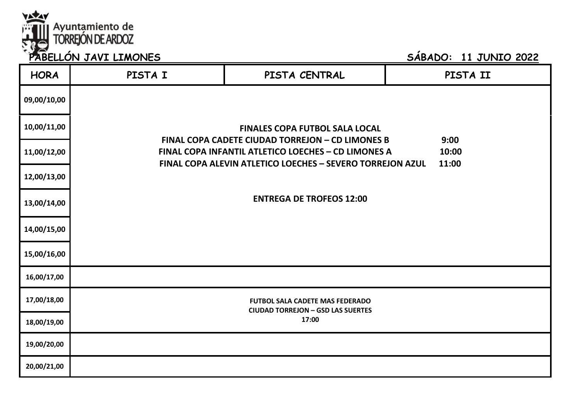

| <b>HORA</b> | PISTA I | PISTA CENTRAL                                                                                                                                                                      | PISTA II               |
|-------------|---------|------------------------------------------------------------------------------------------------------------------------------------------------------------------------------------|------------------------|
| 09,00/10,00 |         |                                                                                                                                                                                    |                        |
| 10,00/11,00 |         | <b>FINALES COPA FUTBOL SALA LOCAL</b>                                                                                                                                              |                        |
| 11,00/12,00 |         | <b>FINAL COPA CADETE CIUDAD TORREJON - CD LIMONES B</b><br><b>FINAL COPA INFANTIL ATLETICO LOECHES - CD LIMONES A</b><br>FINAL COPA ALEVIN ATLETICO LOECHES - SEVERO TORREJON AZUL | 9:00<br>10:00<br>11:00 |
| 12,00/13,00 |         |                                                                                                                                                                                    |                        |
| 13,00/14,00 |         | <b>ENTREGA DE TROFEOS 12:00</b>                                                                                                                                                    |                        |
| 14,00/15,00 |         |                                                                                                                                                                                    |                        |
| 15,00/16,00 |         |                                                                                                                                                                                    |                        |
| 16,00/17,00 |         |                                                                                                                                                                                    |                        |
| 17,00/18,00 |         | <b>FUTBOL SALA CADETE MAS FEDERADO</b><br><b>CIUDAD TORREJON - GSD LAS SUERTES</b>                                                                                                 |                        |
| 18,00/19,00 |         | 17:00                                                                                                                                                                              |                        |
| 19,00/20,00 |         |                                                                                                                                                                                    |                        |
| 20,00/21,00 |         |                                                                                                                                                                                    |                        |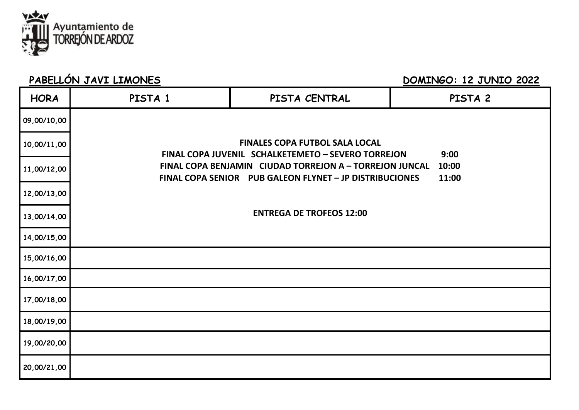

### **PABELLÓN JAVI LIMONES DOMINGO: 12 JUNIO 2022**

| <b>HORA</b> | PISTA 1 | PISTA CENTRAL                                                                                                      | PISTA 2        |
|-------------|---------|--------------------------------------------------------------------------------------------------------------------|----------------|
| 09,00/10,00 |         |                                                                                                                    |                |
| 10,00/11,00 |         | <b>FINALES COPA FUTBOL SALA LOCAL</b><br>FINAL COPA JUVENIL SCHALKETEMETO - SEVERO TORREJON<br>9:00                |                |
| 11,00/12,00 |         | FINAL COPA BENJAMIN CIUDAD TORREJON A - TORREJON JUNCAL<br>FINAL COPA SENIOR PUB GALEON FLYNET - JP DISTRIBUCIONES | 10:00<br>11:00 |
| 12,00/13,00 |         |                                                                                                                    |                |
| 13,00/14,00 |         | <b>ENTREGA DE TROFEOS 12:00</b>                                                                                    |                |
| 14,00/15,00 |         |                                                                                                                    |                |
| 15,00/16,00 |         |                                                                                                                    |                |
| 16,00/17,00 |         |                                                                                                                    |                |
| 17,00/18,00 |         |                                                                                                                    |                |
| 18,00/19,00 |         |                                                                                                                    |                |
| 19,00/20,00 |         |                                                                                                                    |                |
| 20,00/21,00 |         |                                                                                                                    |                |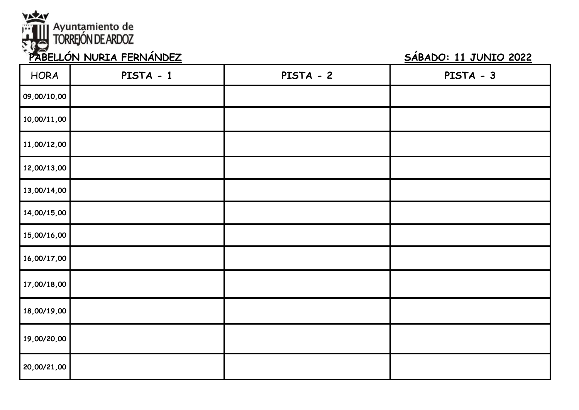

### **PABELLÓN NURIA FERNÁNDEZ** SÁBADO: 11 JUNIO 2022

| <b>HORA</b> | PISTA - 1 | PISTA - 2 | PISTA - 3 |
|-------------|-----------|-----------|-----------|
| 09,00/10,00 |           |           |           |
| 10,00/11,00 |           |           |           |
| 11,00/12,00 |           |           |           |
| 12,00/13,00 |           |           |           |
| 13,00/14,00 |           |           |           |
| 14,00/15,00 |           |           |           |
| 15,00/16,00 |           |           |           |
| 16,00/17,00 |           |           |           |
| 17,00/18,00 |           |           |           |
| 18,00/19,00 |           |           |           |
| 19,00/20,00 |           |           |           |
| 20,00/21,00 |           |           |           |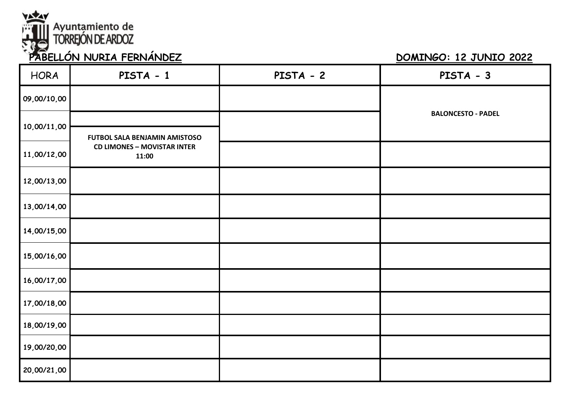

| <b>HORA</b> | PISTA - 1                                   | PISTA - 2 | PISTA - 3                 |
|-------------|---------------------------------------------|-----------|---------------------------|
| 09,00/10,00 |                                             |           |                           |
| 10,00/11,00 | FUTBOL SALA BENJAMIN AMISTOSO               |           | <b>BALONCESTO - PADEL</b> |
| 11,00/12,00 | <b>CD LIMONES - MOVISTAR INTER</b><br>11:00 |           |                           |
| 12,00/13,00 |                                             |           |                           |
| 13,00/14,00 |                                             |           |                           |
| 14,00/15,00 |                                             |           |                           |
| 15,00/16,00 |                                             |           |                           |
| 16,00/17,00 |                                             |           |                           |
| 17,00/18,00 |                                             |           |                           |
| 18,00/19,00 |                                             |           |                           |
| 19,00/20,00 |                                             |           |                           |
| 20,00/21,00 |                                             |           |                           |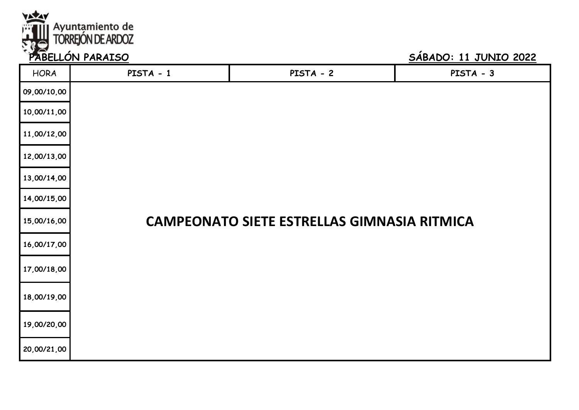

| <b>HORA</b> | PISTA - 1 | PISTA - 2 | PISTA - 3                                          |  |
|-------------|-----------|-----------|----------------------------------------------------|--|
| 09,00/10,00 |           |           |                                                    |  |
| 10,00/11,00 |           |           |                                                    |  |
| 11,00/12,00 |           |           |                                                    |  |
| 12,00/13,00 |           |           |                                                    |  |
| 13,00/14,00 |           |           |                                                    |  |
| 14,00/15,00 |           |           |                                                    |  |
| 15,00/16,00 |           |           | <b>CAMPEONATO SIETE ESTRELLAS GIMNASIA RITMICA</b> |  |
| 16,00/17,00 |           |           |                                                    |  |
| 17,00/18,00 |           |           |                                                    |  |
| 18,00/19,00 |           |           |                                                    |  |
| 19,00/20,00 |           |           |                                                    |  |
| 20,00/21,00 |           |           |                                                    |  |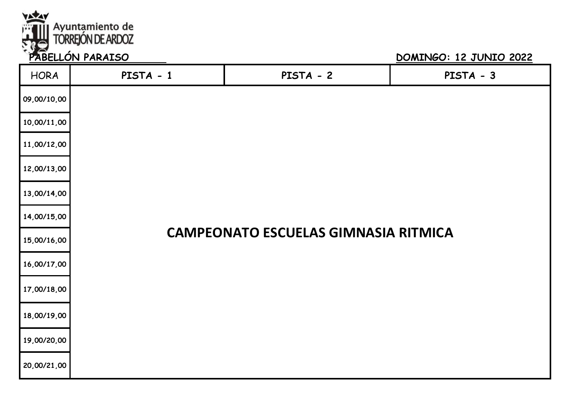

| <b>HORA</b> | PISTA - 1                                   | PISTA - 2 | PISTA - 3 |
|-------------|---------------------------------------------|-----------|-----------|
| 09,00/10,00 |                                             |           |           |
| 10,00/11,00 |                                             |           |           |
| 11,00/12,00 |                                             |           |           |
| 12,00/13,00 |                                             |           |           |
| 13,00/14,00 |                                             |           |           |
| 14,00/15,00 |                                             |           |           |
| 15,00/16,00 | <b>CAMPEONATO ESCUELAS GIMNASIA RITMICA</b> |           |           |
| 16,00/17,00 |                                             |           |           |
| 17,00/18,00 |                                             |           |           |
| 18,00/19,00 |                                             |           |           |
| 19,00/20,00 |                                             |           |           |
| 20,00/21,00 |                                             |           |           |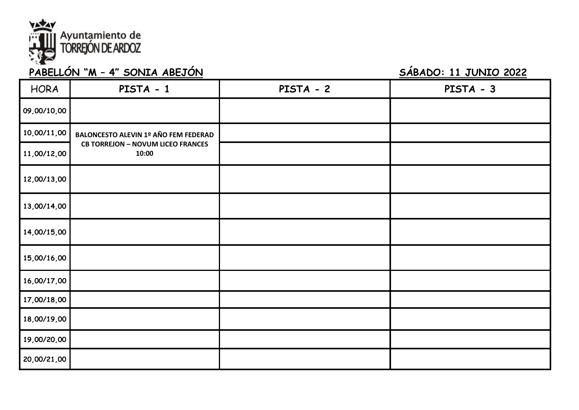

## **PABELLÓN "M – 4" SONIA ABEJÓN SÁBADO: 11 JUNIO 2022**

| <b>HORA</b> | PISTA - 1                                         | PISTA - 2 | PISTA - 3 |
|-------------|---------------------------------------------------|-----------|-----------|
| 09,00/10,00 |                                                   |           |           |
| 10,00/11,00 | <b>BALONCESTO ALEVIN 1º AÑO FEM FEDERAD</b>       |           |           |
| 11,00/12,00 | <b>CB TORREJON - NOVUM LICEO FRANCES</b><br>10:00 |           |           |
| 12,00/13,00 |                                                   |           |           |
| 13,00/14,00 |                                                   |           |           |
| 14,00/15,00 |                                                   |           |           |
| 15,00/16,00 |                                                   |           |           |
| 16,00/17,00 |                                                   |           |           |
| 17,00/18,00 |                                                   |           |           |
| 18,00/19,00 |                                                   |           |           |
| 19,00/20,00 |                                                   |           |           |
| 20,00/21,00 |                                                   |           |           |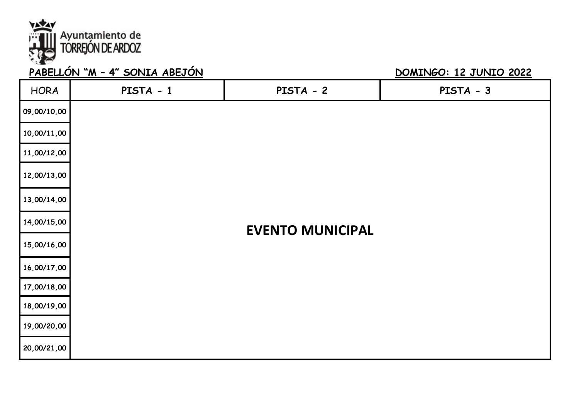

### **PABELLÓN "M – 4" SONIA ABEJÓN DOMINGO: 12 JUNIO 2022**

| <b>HORA</b> | PISTA - 1 | PISTA - 2               | PISTA - 3 |
|-------------|-----------|-------------------------|-----------|
| 09,00/10,00 |           |                         |           |
| 10,00/11,00 |           |                         |           |
| 11,00/12,00 |           |                         |           |
| 12,00/13,00 |           |                         |           |
| 13,00/14,00 |           |                         |           |
| 14,00/15,00 |           | <b>EVENTO MUNICIPAL</b> |           |
| 15,00/16,00 |           |                         |           |
| 16,00/17,00 |           |                         |           |
| 17,00/18,00 |           |                         |           |
| 18,00/19,00 |           |                         |           |
| 19,00/20,00 |           |                         |           |
| 20,00/21,00 |           |                         |           |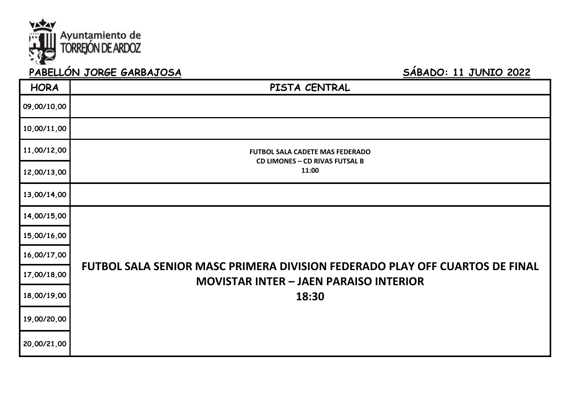

# PABELLÓN JORGE GARBAJOSA **SÁBADO: 11 JUNIO** 2022

| <b>HORA</b> | PISTA CENTRAL                                                                                                                |
|-------------|------------------------------------------------------------------------------------------------------------------------------|
| 09,00/10,00 |                                                                                                                              |
| 10,00/11,00 |                                                                                                                              |
| 11,00/12,00 | <b>FUTBOL SALA CADETE MAS FEDERADO</b><br><b>CD LIMONES - CD RIVAS FUTSAL B</b>                                              |
| 12,00/13,00 | 11:00                                                                                                                        |
| 13,00/14,00 |                                                                                                                              |
| 14,00/15,00 |                                                                                                                              |
| 15,00/16,00 |                                                                                                                              |
| 16,00/17,00 |                                                                                                                              |
| 17,00/18,00 | FUTBOL SALA SENIOR MASC PRIMERA DIVISION FEDERADO PLAY OFF CUARTOS DE FINAL<br><b>MOVISTAR INTER - JAEN PARAISO INTERIOR</b> |
| 18,00/19,00 | 18:30                                                                                                                        |
| 19,00/20,00 |                                                                                                                              |
| 20,00/21,00 |                                                                                                                              |